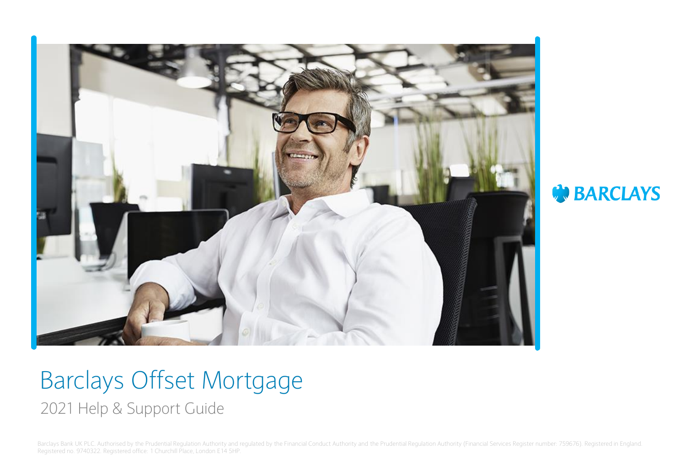

**BARCLAYS** 

# Barclays Offset Mortgage 2021 Help & Support Guide

Barclays Bank UK PLC. Authorised by the Prudential Regulation Authority and regulated by the Financial Conduct Authority and the Prudential Regulation Authority (Financial Services Register number: 759676). Registered in E Registered no. 9740322. Registered office: 1 Churchill Place, London E14 5HP.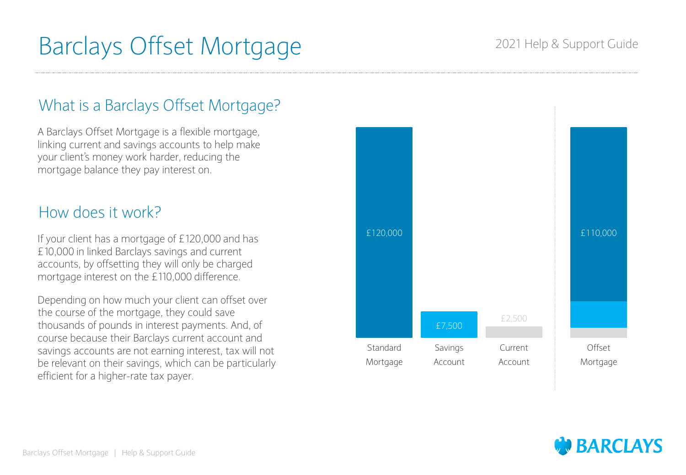## 2021 Help & Support Guide

# What is a Barclays Offset Mortgage?

A Barclays Offset Mortgage is a flexible mortgage, linking current and savings accounts to help make your client's money work harder, reducing the mortgage balance they pay interest on.

# How does it work?

If your client has a mortgage of £120,000 and has £10,000 in linked Barclays savings and current accounts, by offsetting they will only be charged mortgage interest on the £110,000 difference.

Depending on how much your client can offset over the course of the mortgage, they could save thousands of pounds in interest payments. And, of course because their Barclays current account and savings accounts are not earning interest, tax will not be relevant on their savings, which can be particularly efficient for a higher-rate tax payer.



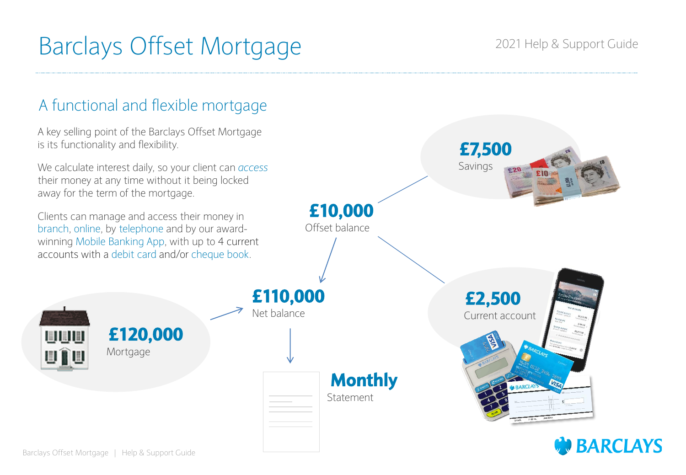# A functional and flexible mortgage

A key selling point of the Barclays Offset Mortgage is its functionality and flexibility.

We calculate interest daily, so your client can *access* their money at any time without it being locked away for the term of the mortgage.

Clients can manage and access their money in branch, online, by telephone and by our awardwinning Mobile Banking App, with up to 4 current accounts with a debit card and/or cheque book.



UUU.

uîu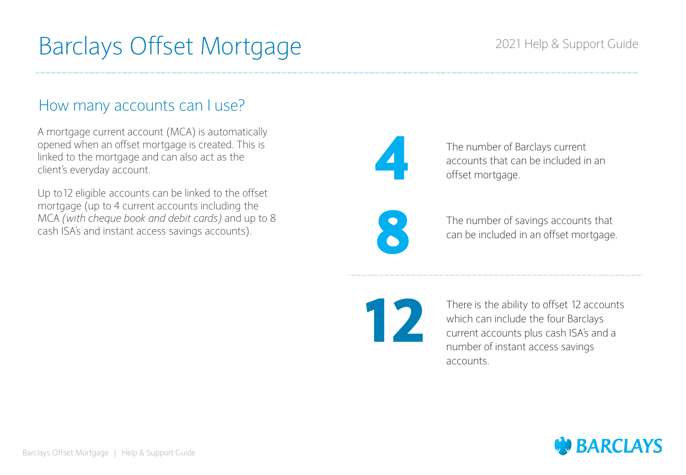## 2021 Help & Support Guide

## How many accounts can I use?

A mortgage current account (MCA) is automatically opened when an offset mortgage is created. This is linked to the mortgage and can also act as the client's everyday account.

Up to12 eligible accounts can be linked to the offset mortgage (up to 4 current accounts including the MCA *(with cheque book and debit cards)* and up to 8 cash ISA's and instant access savings accounts).



**8**

The number of Barclays current accounts that can be included in an offset mortgage.

The number of savings accounts that can be included in an offset mortgage.

**12**

There is the ability to offset 12 accounts which can include the four Barclays current accounts plus cash ISA's and a number of instant access savings accounts.

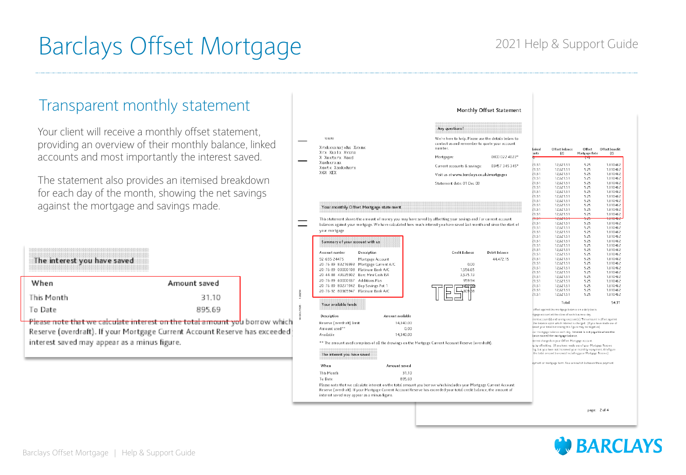## 2021 Help & Support Guide

## Transparent monthly statement

Your client will receive a monthly offset statement, providing an overview of their monthly balance, linked accounts and most importantly the interest saved.

The statement also provides an itemised breakdown for each day of the month, showing the net savings against the mortgage and savings made.

| The interest you have saved |              |
|-----------------------------|--------------|
| When                        | Amount saved |
| This Month                  | 31.10        |
| To Date                     | 895.69       |

Please note that we calculate interest on the total amount you borrow which Reserve (overdraft). If your Mortgage Current Account Reserve has exceeded interest saved may appear as a minus figure.

|                                              |                       | Any questions?                                                                                                                                                                                                                            |                      |                |                                                                                                                                    |               |                      |
|----------------------------------------------|-----------------------|-------------------------------------------------------------------------------------------------------------------------------------------------------------------------------------------------------------------------------------------|----------------------|----------------|------------------------------------------------------------------------------------------------------------------------------------|---------------|----------------------|
| 128250                                       |                       | We're here to help. Please use the details below to                                                                                                                                                                                       |                      |                |                                                                                                                                    |               |                      |
|                                              |                       | contact us and remember to quote your account                                                                                                                                                                                             |                      |                |                                                                                                                                    |               |                      |
| Xrxkxvxnxjxhx Xvxnx                          |                       | number.                                                                                                                                                                                                                                   |                      | inked          | Offset balance                                                                                                                     | Offset        | Offset benefit       |
| Xrx Xuxix Xvxnx<br>X Xextxrx Xoxd            |                       | Mortgages:                                                                                                                                                                                                                                | 0800 022 4022*       | unts           | (f)                                                                                                                                | Mortgage Rate | (E)                  |
| Xoxhxrxax                                    |                       |                                                                                                                                                                                                                                           |                      |                |                                                                                                                                    | t×t           |                      |
| Xoxtx Xoxkxhxrx                              |                       | Current accounts & savings:                                                                                                                                                                                                               | 03457 345 345*       | 21.51          | 12,621.51                                                                                                                          | 5.25          | 1,810462             |
| X6X XEX                                      |                       | Visit us at www.barclays.co.uk/mortgages                                                                                                                                                                                                  |                      | 21.51<br>21.51 | 12.621.51<br>12.621.51                                                                                                             | 5.25<br>5.25  | 1.810462<br>1.810462 |
|                                              |                       |                                                                                                                                                                                                                                           |                      | 21.51          | 12,621.51                                                                                                                          | 5.25          | 1.810462             |
|                                              |                       | Statement date: 01 Dec 08                                                                                                                                                                                                                 |                      | 21.51          | 12,621.51                                                                                                                          | 5.25          | 1,810462             |
|                                              |                       |                                                                                                                                                                                                                                           |                      | 21.51<br>21.51 | 12.621.51<br>12,621.51                                                                                                             | 5.25<br>5.25  | 1.810462<br>1.810462 |
|                                              |                       |                                                                                                                                                                                                                                           |                      | 21.51          | 12,621.51                                                                                                                          | 5.25          | 1.810462             |
|                                              |                       |                                                                                                                                                                                                                                           |                      | 21.51          | 12,621.51                                                                                                                          | 5.25          | 1.810462             |
| Your monthly Offset Mortgage statement       |                       |                                                                                                                                                                                                                                           |                      | 21.51          | 12,621.51                                                                                                                          | 5.25          | 1,810462             |
|                                              |                       |                                                                                                                                                                                                                                           |                      | 21.51<br>21.51 | 12,621.51<br>12.621.51                                                                                                             | 5.25<br>5.25  | 1.810462<br>1.810462 |
|                                              |                       | This statement shows the amount of money you may have saved by offsetting your savings and / or current account                                                                                                                           |                      | man            | 12,621.51                                                                                                                          | 525           | 1,810462             |
|                                              |                       | balances against your mortgage. We have calculated how much interest you have saved last month and since the start of                                                                                                                     |                      | 21.51          | 12,621.51                                                                                                                          | 5.25          | 1,810462             |
| your mortgage                                |                       |                                                                                                                                                                                                                                           |                      | 21.51          | 12,621.51                                                                                                                          | 5.25          | 1.810462             |
|                                              |                       |                                                                                                                                                                                                                                           |                      | 21.51<br>21.51 | 12,621.51<br>12,621.51                                                                                                             | 5.25<br>5.25  | 1.810462<br>1.810462 |
| Summary of your account with us              |                       |                                                                                                                                                                                                                                           |                      | 21.51          | 12,621.51                                                                                                                          | 5.25          | 1,810462             |
|                                              |                       |                                                                                                                                                                                                                                           |                      | 21.51          | 12.621.51                                                                                                                          | 5.25          | 1,810462             |
| Account number<br>Description                |                       | Credit Balance                                                                                                                                                                                                                            | <b>Debit Balance</b> | 21.51<br>21.51 | 12,621.51<br>12,621.51                                                                                                             | 5.25<br>5.25  | 1.810462<br>1.810462 |
| 92-655-24475                                 | Mortgage Account      |                                                                                                                                                                                                                                           | 44,472.15            | 21.51          | 12,621.51                                                                                                                          | 5.25          | 1.810462             |
| 20-76-89 83216993                            | Mortgage Current A/C  | 0.00                                                                                                                                                                                                                                      |                      | 21.51          | 12,621.51                                                                                                                          | 5.25          | 1,810462             |
| 20-76-89 00000108                            | Platinum Bank A/C     | 1,556.65                                                                                                                                                                                                                                  |                      | 21.51          | 12,621.51                                                                                                                          | 5.25          | 1.810462             |
| 20-44-88 43635902 Barc Mini Cash ISA         |                       | 3,575.13                                                                                                                                                                                                                                  |                      | 21.51<br>21.51 | 12,621.51<br>12,621.51                                                                                                             | 5.25<br>5.25  | 1.810462<br>1.810462 |
| 20-76-89 60000337                            | <b>Additions Plus</b> | 959.94                                                                                                                                                                                                                                    |                      | 21.51          | 12,621.51                                                                                                                          | 5.25          | 1,810462             |
| 20-76-89 80271942                            | Bop Savings Pot 1     |                                                                                                                                                                                                                                           |                      | 21.51          | 12.621.51                                                                                                                          | 5.25          | 1.810462             |
| 20-76-92 80365947                            | Platinum Bank A/C     |                                                                                                                                                                                                                                           |                      | 21.51          | 12,621.51                                                                                                                          | 5.25          | 1.810462             |
|                                              |                       |                                                                                                                                                                                                                                           |                      | 21.51          | 12,621.51                                                                                                                          | 5.25          | 1.810462             |
| Your available funds                         |                       |                                                                                                                                                                                                                                           |                      |                | Total                                                                                                                              |               | 54.31                |
|                                              |                       |                                                                                                                                                                                                                                           |                      |                | offset against the mortgage balance on a daily basis.                                                                              |               |                      |
| Description                                  | Amount available      |                                                                                                                                                                                                                                           |                      |                | tgage account at the close of each business day.<br>ment account(s) and savings account(s). This amount is offset against          |               |                      |
| Reserve (overdraft) limit<br>Amount used**   | 14,340.00<br>0.00     |                                                                                                                                                                                                                                           |                      |                | the balance upon which interest is charged. (If you have made use of<br>sased your total borrowing this figure may be negative).   |               |                      |
| Available                                    | 14,340.00             |                                                                                                                                                                                                                                           |                      |                | pur mortgage balance each day. Interest is not payable where the<br>ance exceed the mortgage balance.                              |               |                      |
|                                              |                       | ** The amount used comprises of all the drawings on the Mortgage Current Account Reserve (overdraft).                                                                                                                                     |                      |                | iterest charged on your Offset Mortgage account.<br>iy by offsetting. (If you have made use of your Mortgage Reserve               |               |                      |
| The interest you have saved                  |                       |                                                                                                                                                                                                                                           |                      |                | ing, but you have not increased your monthly repayment, this figure<br>the total amount borrowed including your Mortgage Reserve). |               |                      |
|                                              |                       |                                                                                                                                                                                                                                           |                      |                | syment or mortgage term. You can switch between these payment                                                                      |               |                      |
| When                                         | Amount saved          |                                                                                                                                                                                                                                           |                      |                |                                                                                                                                    |               |                      |
| This Month                                   | 31.10                 |                                                                                                                                                                                                                                           |                      |                |                                                                                                                                    |               |                      |
| To Date                                      | 895.69                |                                                                                                                                                                                                                                           |                      |                |                                                                                                                                    |               |                      |
| interest saved may appear as a minus figure. |                       | Please note that we calculate interest on the total amount you borrow which includes your Mortgage Current Account<br>Reserve (overdraft). If your Mortgage Current Account Reserve has exceeded your total credit balance, the amount of |                      |                |                                                                                                                                    |               |                      |

Monthly Offset Statement

page: 2 of 4

# **W** BARCLAYS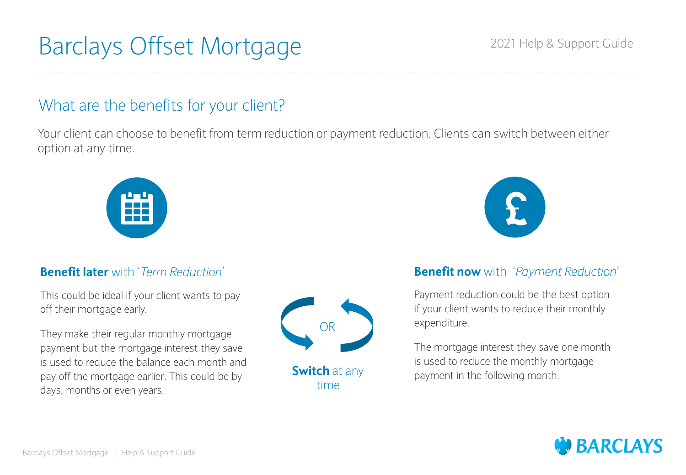# What are the benefits for your client?

Your client can choose to benefit from term reduction or payment reduction. Clients can switch between either option at any time.



## **Benefit later** with '*Term Reduction*'

This could be ideal if your client wants to pay off their mortgage early.

They make their regular monthly mortgage payment but the mortgage interest they save is used to reduce the balance each month and pay off the mortgage earlier. This could be by days, months or even years.



**Switch** at any time



## **Benefit now** with '*Payment Reduction*'

Payment reduction could be the best option if your client wants to reduce their monthly expenditure.

The mortgage interest they save one month is used to reduce the monthly mortgage payment in the following month.

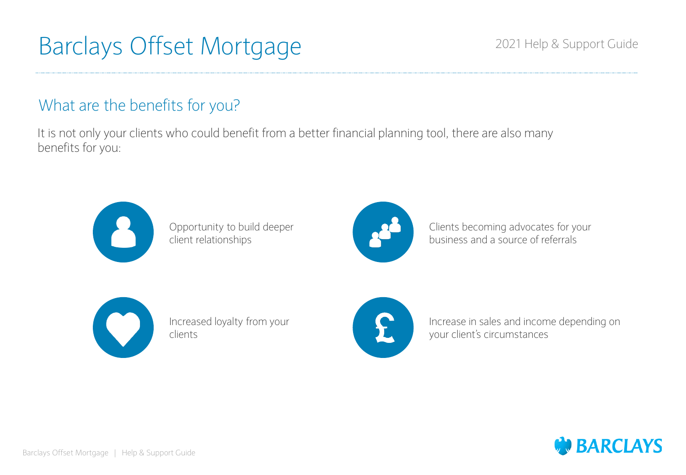# What are the benefits for you?

It is not only your clients who could benefit from a better financial planning tool, there are also many benefits for you:



Opportunity to build deeper client relationships



Clients becoming advocates for your business and a source of referrals



Increased loyalty from your clients



Increase in sales and income depending on your client's circumstances

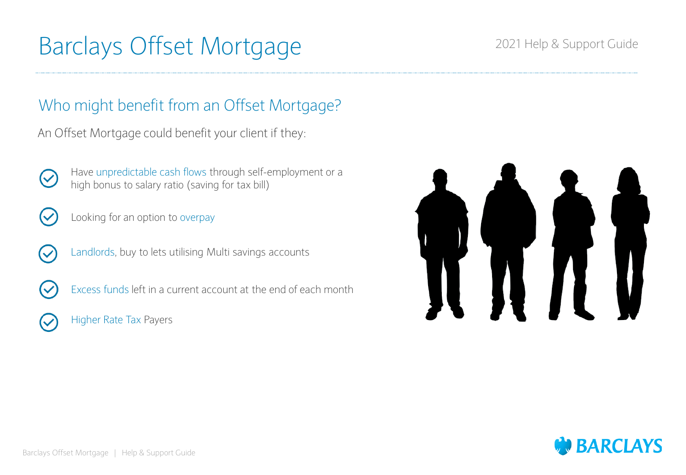## 2021 Help & Support Guide

# Who might benefit from an Offset Mortgage?

An Offset Mortgage could benefit your client if they:



Have unpredictable cash flows through self-employment or a high bonus to salary ratio (saving for tax bill)



(V

- Looking for an option to overpay
- Landlords, buy to lets utilising Multi savings accounts
- Excess funds left in a current account at the end of each month
- Higher Rate Tax Payers



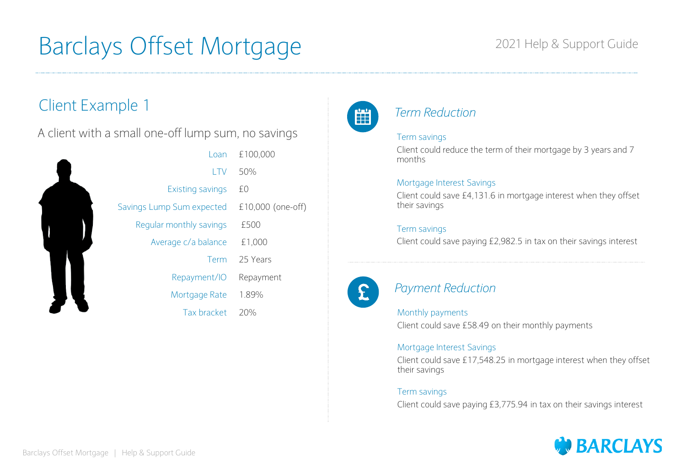## 2021 Help & Support Guide

# Client Example 1

A client with a small one-off lump sum, no savings

| Loan                      | £100,000          |
|---------------------------|-------------------|
| LTV                       | 50%               |
| Existing savings          | £0                |
| Savings Lump Sum expected | £10,000 (one-off) |
| Regular monthly savings   | £500              |
| Average c/a balance       | £1,000            |
| Term                      | 25 Years          |
| Repayment/IO              | Repayment         |
| Mortgage Rate             | 1.89%             |
| Tax bracket               | 20%               |
|                           |                   |



## *Term Reduction*

### Term savings

Client could reduce the term of their mortgage by 3 years and 7 months

### Mortgage Interest Savings

Client could save £4,131.6 in mortgage interest when they offset their savings

### Term savings

Client could save paying £2,982.5 in tax on their savings interest



## *Payment Reduction*

### Monthly payments

Client could save £58.49 on their monthly payments

### Mortgage Interest Savings

Client could save £17,548.25 in mortgage interest when they offset their savings

### Term savings

Client could save paying £3,775.94 in tax on their savings interest

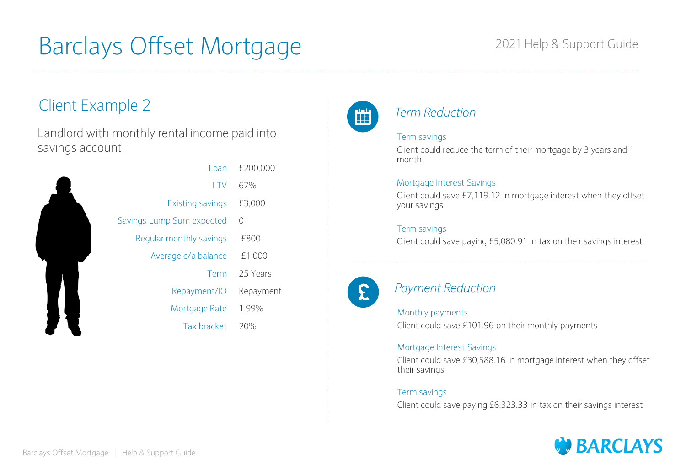## 2021 Help & Support Guide

# Client Example 2

Landlord with monthly rental income paid into savings account



| Loan                    | £200,000   |
|-------------------------|------------|
| LTV                     | 67%        |
| <b>Existing savings</b> | £3,000     |
| ngs Lump Sum expected   | $\bigcirc$ |
| Regular monthly savings | £800       |
| Average c/a balance     | £1,000     |
| Term                    | 25 Years   |
| Repayment/IO            | Repayment  |
| Mortgage Rate           | 1.99%      |
| Tax bracket             | 20%        |
|                         |            |



## *Term Reduction*

### Term savings

Client could reduce the term of their mortgage by 3 years and 1 month

### Mortgage Interest Savings

Client could save £7,119.12 in mortgage interest when they offset your savings

### Term savings

Client could save paying £5,080.91 in tax on their savings interest



## *Payment Reduction*

### Monthly payments

Client could save £101.96 on their monthly payments

### Mortgage Interest Savings

Client could save £30,588.16 in mortgage interest when they offset their savings

### Term savings

Client could save paying £6,323.33 in tax on their savings interest

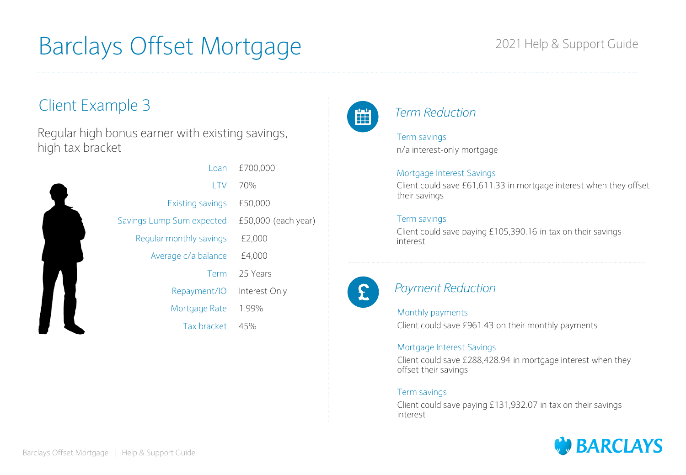## 2021 Help & Support Guide

# Client Example 3

Regular high bonus earner with existing savings, high tax bracket

| Loan                      | £700,000              |
|---------------------------|-----------------------|
| <b>LTV</b>                | 70%                   |
| Existing savings          | £50,000               |
| Savings Lump Sum expected | $£50,000$ (each year) |
| Regular monthly savings   | £2,000                |
| Average c/a balance       | £4,000                |
| Term                      | 25 Years              |
| Repayment/IO              | Interest Only         |
| Mortgage Rate             | 1.99%                 |
| Tax bracket               | 45%                   |
|                           |                       |



## *Term Reduction*

Term savings n/a interest-only mortgage

### Mortgage Interest Savings

Client could save £61,611.33 in mortgage interest when they offset their savings

### Term savings

Client could save paying £105,390.16 in tax on their savings interest



## *Payment Reduction*

### Monthly payments

Client could save £961.43 on their monthly payments

### Mortgage Interest Savings

Client could save £288,428.94 in mortgage interest when they offset their savings

### Term savings

Client could save paying £131,932.07 in tax on their savings interest

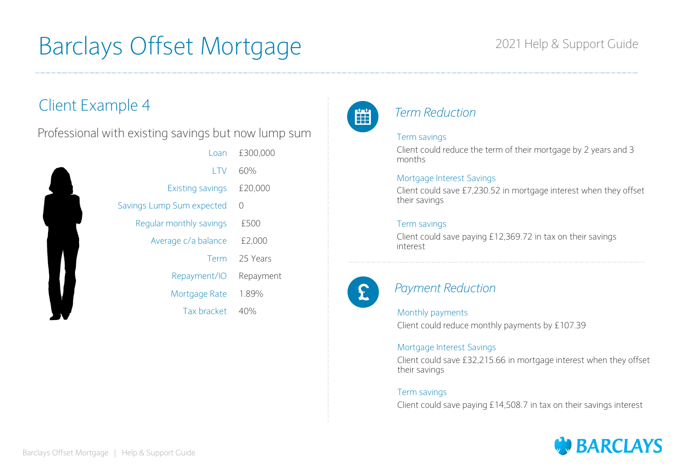## 2021 Help & Support Guide

# Client Example 4

Professional with existing savings but now lump sum

| £300,000  | Loan                      |
|-----------|---------------------------|
| 60%       | I TV                      |
| £20,000   | Existing savings          |
| 0         | Savings Lump Sum expected |
| £500      | Regular monthly savings   |
| £2,000    | Average c/a balance       |
| 25 Years  | Term                      |
| Repayment | Repayment/IO              |
| 1.89%     | Mortgage Rate             |
| 40%       | Tax bracket               |
|           |                           |



## *Term Reduction*

### Term savings

Client could reduce the term of their mortgage by 2 years and 3 months

### Mortgage Interest Savings

Client could save £7,230.52 in mortgage interest when they offset their savings

### Term savings

Client could save paying £12,369.72 in tax on their savings interest



## *Payment Reduction*

### Monthly payments

Client could reduce monthly payments by £107.39

### Mortgage Interest Savings

Client could save £32,215.66 in mortgage interest when they offset their savings

### Term savings

Client could save paying £14,508.7 in tax on their savings interest

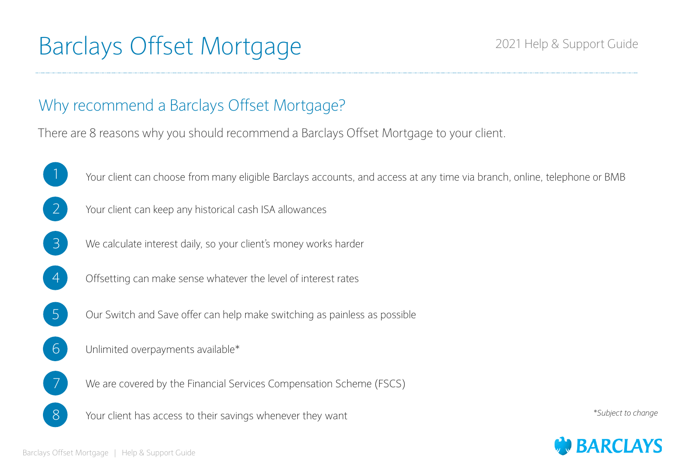# Why recommend a Barclays Offset Mortgage?

There are 8 reasons why you should recommend a Barclays Offset Mortgage to your client.



 $1$  Your client can choose from many eligible Barclays accounts, and access at any time via branch, online, telephone or BMB



- 3 We calculate interest daily, so your client's money works harder
- 
- 4 Offsetting can make sense whatever the level of interest rates
- 5 Our Switch and Save offer can help make switching as painless as possible
- 6 Unlimited overpayments available\*
	- We are covered by the Financial Services Compensation Scheme (FSCS)
- 8 Your client has access to their savings whenever they want